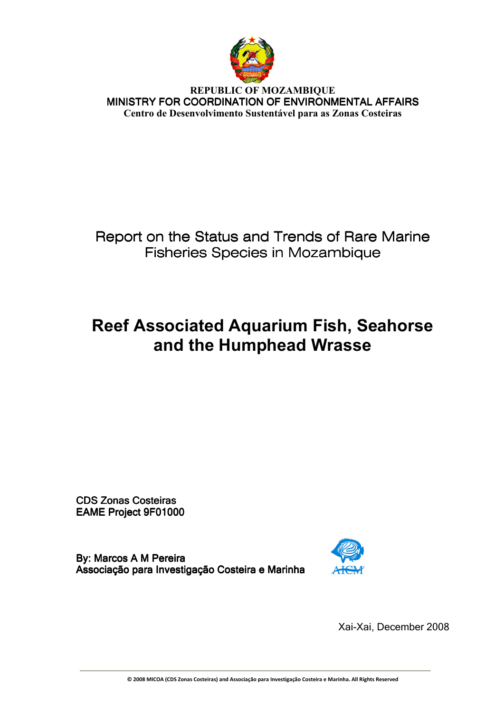

**REPUBLIC OF MOZAMBIQUE**  MINISTRY FOR COORDINATION OF ENVIRONMENTAL AFFAIRS **Centro de Desenvolvimento Sustentável para as Zonas Costeiras** 

# Report on the Status and Trends of Rare Marine Fisheries Species in Mozambique

# **Reef Associated Aquarium Fish, Seahorse and the Humphead Wrasse**

CDS Zonas Costeiras EAME Project 9F01000

By: Marcos A M Pereira Associação para Investigação Costeira e Marinha



Xai-Xai, December 2008

**© 2008 MICOA (CDS Zonas Costeiras) and Associação para Investigação Costeira e Marinha. All Rights Reserved**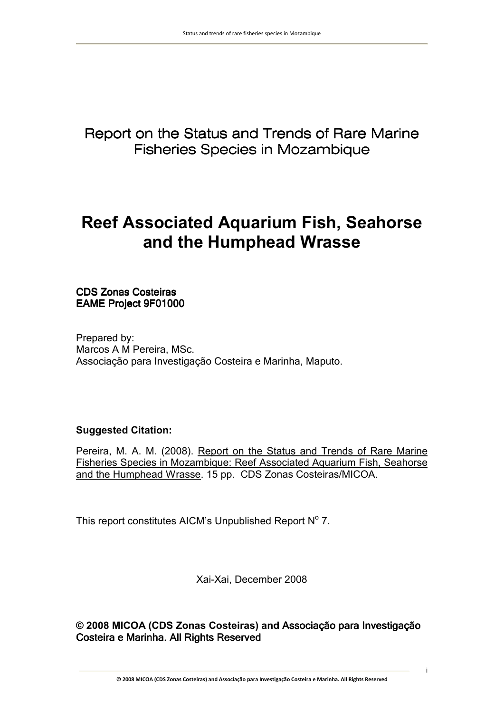Report on the Status and Trends of Rare Marine Fisheries Species in Mozambique

# **Reef Associated Aquarium Fish, Seahorse and the Humphead Wrasse**

CDS Zonas Costeiras Costeiras EAME Project 9F01000

Prepared by: Marcos A M Pereira, MSc. Associação para Investigação Costeira e Marinha, Maputo.

# **Suggested Citation:**

Pereira, M. A. M. (2008). Report on the Status and Trends of Rare Marine Fisheries Species in Mozambique: Reef Associated Aquarium Fish, Seahorse and the Humphead Wrasse. 15 pp. CDS Zonas Costeiras/MICOA.

This report constitutes AICM's Unpublished Report  $N^{\circ}$  7.

Xai-Xai, December 2008

**© 2008 MICOA (CDS Zonas Costeiras) and** Associação para Investigação Costeira e Marinha. All Rights Reserved

**© 2008 MICOA (CDS Zonas Costeiras) and Associação para Investigação Costeira e Marinha. All Rights Reserved**

i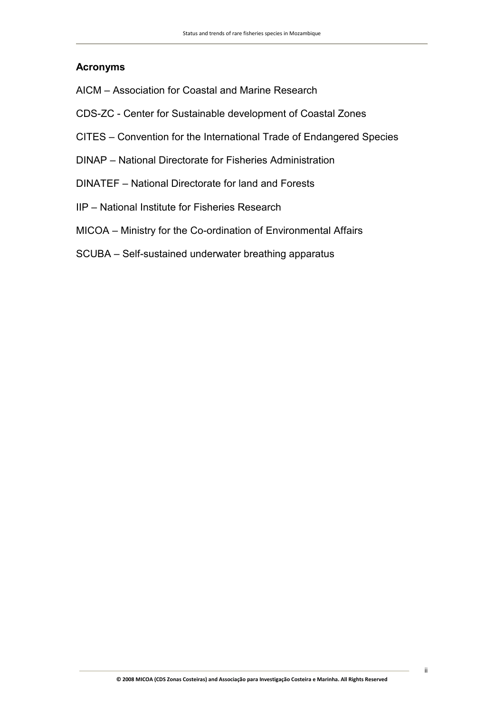# **Acronyms**

- AICM Association for Coastal and Marine Research
- CDS-ZC Center for Sustainable development of Coastal Zones
- CITES Convention for the International Trade of Endangered Species
- DINAP National Directorate for Fisheries Administration
- DINATEF National Directorate for land and Forests
- IIP National Institute for Fisheries Research
- MICOA Ministry for the Co-ordination of Environmental Affairs
- SCUBA Self-sustained underwater breathing apparatus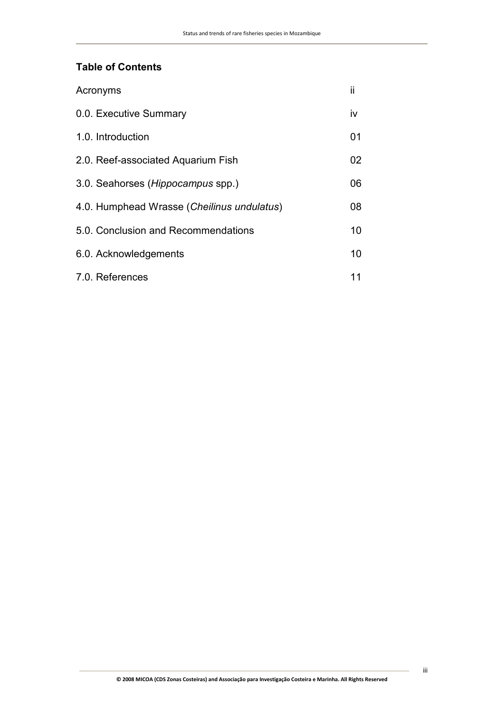# **Table of Contents**

| Acronyms                                   | ii |
|--------------------------------------------|----|
| 0.0. Executive Summary                     | iv |
| 1.0. Introduction                          | 01 |
| 2.0. Reef-associated Aquarium Fish         | 02 |
| 3.0. Seahorses (Hippocampus spp.)          | 06 |
| 4.0. Humphead Wrasse (Cheilinus undulatus) | 08 |
| 5.0. Conclusion and Recommendations        | 10 |
| 6.0. Acknowledgements                      | 10 |
| 7.0. References                            | 11 |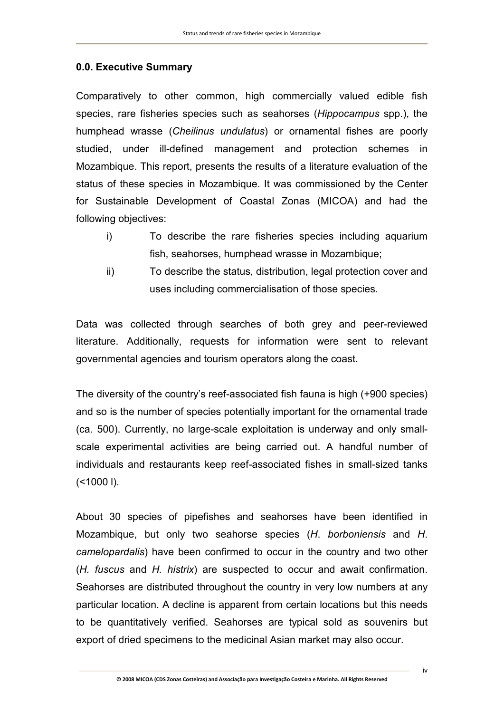# **0.0. Executive Summary**

Comparatively to other common, high commercially valued edible fish species, rare fisheries species such as seahorses (*Hippocampus* spp.), the humphead wrasse (*Cheilinus undulatus*) or ornamental fishes are poorly studied, under ill-defined management and protection schemes in Mozambique. This report, presents the results of a literature evaluation of the status of these species in Mozambique. It was commissioned by the Center for Sustainable Development of Coastal Zonas (MICOA) and had the following objectives:

- i) To describe the rare fisheries species including aquarium fish, seahorses, humphead wrasse in Mozambique;
- ii) To describe the status, distribution, legal protection cover and uses including commercialisation of those species.

Data was collected through searches of both grey and peer-reviewed literature. Additionally, requests for information were sent to relevant governmental agencies and tourism operators along the coast.

The diversity of the country's reef-associated fish fauna is high (+900 species) and so is the number of species potentially important for the ornamental trade (ca. 500). Currently, no large-scale exploitation is underway and only smallscale experimental activities are being carried out. A handful number of individuals and restaurants keep reef-associated fishes in small-sized tanks  $(<1000$  I).

About 30 species of pipefishes and seahorses have been identified in Mozambique, but only two seahorse species (*H*. *borboniensis* and *H*. *camelopardalis*) have been confirmed to occur in the country and two other (*H. fuscus* and *H. histrix*) are suspected to occur and await confirmation. Seahorses are distributed throughout the country in very low numbers at any particular location. A decline is apparent from certain locations but this needs to be quantitatively verified. Seahorses are typical sold as souvenirs but export of dried specimens to the medicinal Asian market may also occur.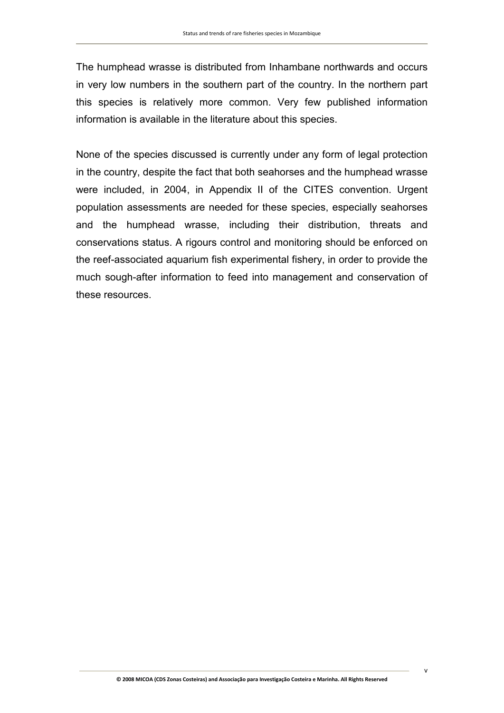The humphead wrasse is distributed from Inhambane northwards and occurs in very low numbers in the southern part of the country. In the northern part this species is relatively more common. Very few published information information is available in the literature about this species.

None of the species discussed is currently under any form of legal protection in the country, despite the fact that both seahorses and the humphead wrasse were included, in 2004, in Appendix II of the CITES convention. Urgent population assessments are needed for these species, especially seahorses and the humphead wrasse, including their distribution, threats and conservations status. A rigours control and monitoring should be enforced on the reef-associated aquarium fish experimental fishery, in order to provide the much sough-after information to feed into management and conservation of these resources.

v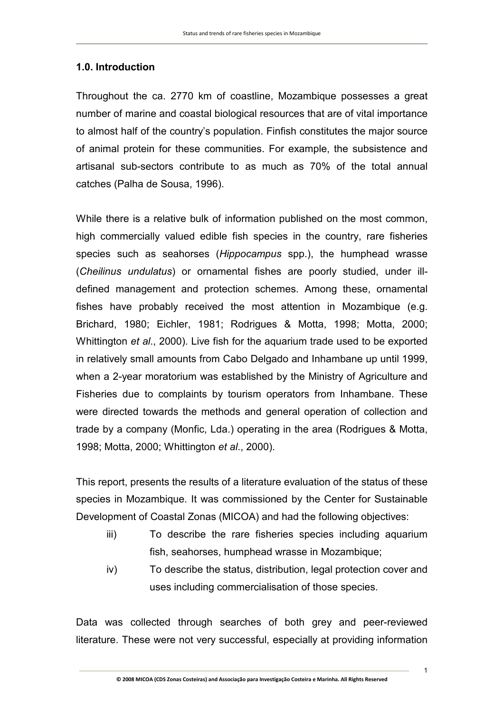# **1.0. Introduction**

Throughout the ca. 2770 km of coastline, Mozambique possesses a great number of marine and coastal biological resources that are of vital importance to almost half of the country's population. Finfish constitutes the major source of animal protein for these communities. For example, the subsistence and artisanal sub-sectors contribute to as much as 70% of the total annual catches (Palha de Sousa, 1996).

While there is a relative bulk of information published on the most common, high commercially valued edible fish species in the country, rare fisheries species such as seahorses (*Hippocampus* spp.), the humphead wrasse (*Cheilinus undulatus*) or ornamental fishes are poorly studied, under illdefined management and protection schemes. Among these, ornamental fishes have probably received the most attention in Mozambique (e.g. Brichard, 1980; Eichler, 1981; Rodrigues & Motta, 1998; Motta, 2000; Whittington *et al*., 2000). Live fish for the aquarium trade used to be exported in relatively small amounts from Cabo Delgado and Inhambane up until 1999, when a 2-year moratorium was established by the Ministry of Agriculture and Fisheries due to complaints by tourism operators from Inhambane. These were directed towards the methods and general operation of collection and trade by a company (Monfic, Lda.) operating in the area (Rodrigues & Motta, 1998; Motta, 2000; Whittington *et al*., 2000).

This report, presents the results of a literature evaluation of the status of these species in Mozambique. It was commissioned by the Center for Sustainable Development of Coastal Zonas (MICOA) and had the following objectives:

- iii) To describe the rare fisheries species including aquarium fish, seahorses, humphead wrasse in Mozambique;
- iv) To describe the status, distribution, legal protection cover and uses including commercialisation of those species.

Data was collected through searches of both grey and peer-reviewed literature. These were not very successful, especially at providing information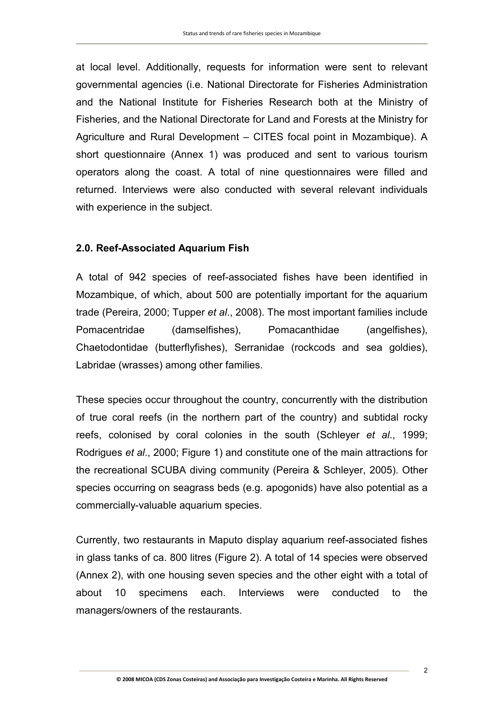at local level. Additionally, requests for information were sent to relevant governmental agencies (i.e. National Directorate for Fisheries Administration and the National Institute for Fisheries Research both at the Ministry of Fisheries, and the National Directorate for Land and Forests at the Ministry for Agriculture and Rural Development – CITES focal point in Mozambique). A short questionnaire (Annex 1) was produced and sent to various tourism operators along the coast. A total of nine questionnaires were filled and returned. Interviews were also conducted with several relevant individuals with experience in the subject.

#### **2.0. Reef-Associated Aquarium Fish**

A total of 942 species of reef-associated fishes have been identified in Mozambique, of which, about 500 are potentially important for the aquarium trade (Pereira, 2000; Tupper *et al*., 2008). The most important families include Pomacentridae (damselfishes), Pomacanthidae (angelfishes), Chaetodontidae (butterflyfishes), Serranidae (rockcods and sea goldies), Labridae (wrasses) among other families.

These species occur throughout the country, concurrently with the distribution of true coral reefs (in the northern part of the country) and subtidal rocky reefs, colonised by coral colonies in the south (Schleyer *et al*., 1999; Rodrigues *et al*., 2000; Figure 1) and constitute one of the main attractions for the recreational SCUBA diving community (Pereira & Schleyer, 2005). Other species occurring on seagrass beds (e.g. apogonids) have also potential as a commercially-valuable aquarium species.

Currently, two restaurants in Maputo display aquarium reef-associated fishes in glass tanks of ca. 800 litres (Figure 2). A total of 14 species were observed (Annex 2), with one housing seven species and the other eight with a total of about 10 specimens each. Interviews were conducted to the managers/owners of the restaurants.

2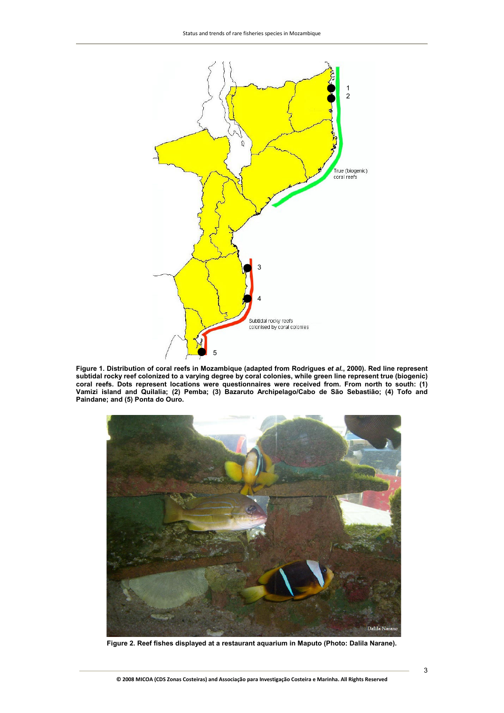

**Figure 1. Distribution of coral reefs in Mozambique (adapted from Rodrigues** *et al***., 2000). Red line represent subtidal rocky reef colonized to a varying degree by coral colonies, while green line represent true (biogenic) coral reefs. Dots represent locations were questionnaires were received from. From north to south: (1) Vamizi island and Quilalia; (2) Pemba; (3) Bazaruto Archipelago/Cabo de São Sebastião; (4) Tofo and Paindane; and (5) Ponta do Ouro.** 



**Figure 2. Reef fishes displayed at a restaurant aquarium in Maputo (Photo: Dalila Narane).** 

**© 2008 MICOA (CDS Zonas Costeiras) and Associação para Investigação Costeira e Marinha. All Rights Reserved**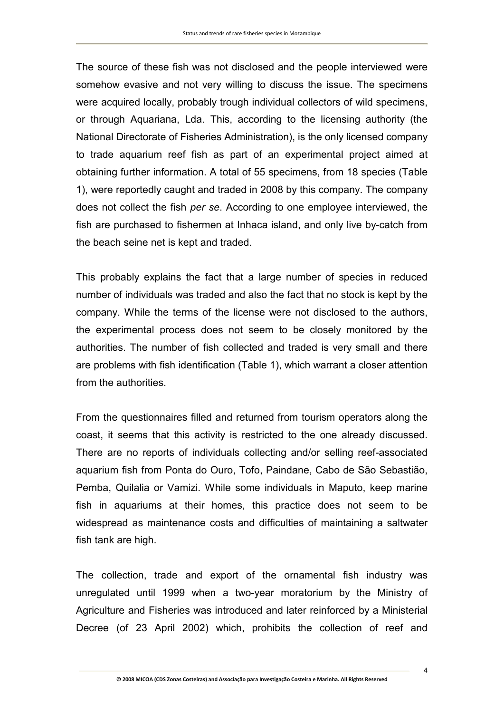The source of these fish was not disclosed and the people interviewed were somehow evasive and not very willing to discuss the issue. The specimens were acquired locally, probably trough individual collectors of wild specimens, or through Aquariana, Lda. This, according to the licensing authority (the National Directorate of Fisheries Administration), is the only licensed company to trade aquarium reef fish as part of an experimental project aimed at obtaining further information. A total of 55 specimens, from 18 species (Table 1), were reportedly caught and traded in 2008 by this company. The company does not collect the fish *per se*. According to one employee interviewed, the fish are purchased to fishermen at Inhaca island, and only live by-catch from the beach seine net is kept and traded.

This probably explains the fact that a large number of species in reduced number of individuals was traded and also the fact that no stock is kept by the company. While the terms of the license were not disclosed to the authors, the experimental process does not seem to be closely monitored by the authorities. The number of fish collected and traded is very small and there are problems with fish identification (Table 1), which warrant a closer attention from the authorities.

From the questionnaires filled and returned from tourism operators along the coast, it seems that this activity is restricted to the one already discussed. There are no reports of individuals collecting and/or selling reef-associated aquarium fish from Ponta do Ouro, Tofo, Paindane, Cabo de São Sebastião, Pemba, Quilalia or Vamizi. While some individuals in Maputo, keep marine fish in aquariums at their homes, this practice does not seem to be widespread as maintenance costs and difficulties of maintaining a saltwater fish tank are high.

The collection, trade and export of the ornamental fish industry was unregulated until 1999 when a two-year moratorium by the Ministry of Agriculture and Fisheries was introduced and later reinforced by a Ministerial Decree (of 23 April 2002) which, prohibits the collection of reef and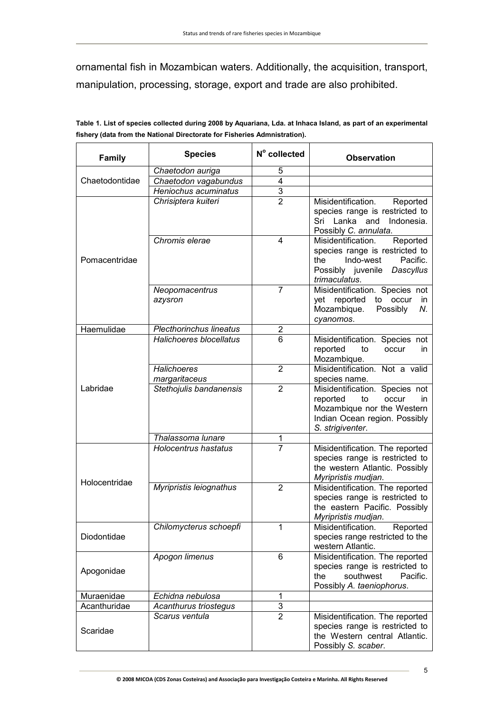ornamental fish in Mozambican waters. Additionally, the acquisition, transport, manipulation, processing, storage, export and trade are also prohibited.

| <b>Family</b>  | <b>Species</b>                      | N° collected              | <b>Observation</b>                                                                                                                                  |
|----------------|-------------------------------------|---------------------------|-----------------------------------------------------------------------------------------------------------------------------------------------------|
|                | Chaetodon auriga                    | 5                         |                                                                                                                                                     |
| Chaetodontidae | Chaetodon vagabundus                | $\overline{4}$            |                                                                                                                                                     |
|                | Heniochus acuminatus                | $\overline{3}$            |                                                                                                                                                     |
|                | Chrisiptera kuiteri                 | $\overline{2}$            | Misidentification.<br>Reported<br>species range is restricted to<br>Sri Lanka and Indonesia.<br>Possibly C. annulata.                               |
| Pomacentridae  | Chromis elerae                      | 4                         | Misidentification.<br>Reported<br>species range is restricted to<br>Indo-west<br>Pacific.<br>the<br>Possibly juvenile<br>Dascyllus<br>trimaculatus. |
|                | Neopomacentrus<br>azysron           | $\overline{7}$            | Misidentification. Species not<br>yet reported<br>to occur<br>in.<br>Mozambique.<br>Possibly<br>Ν.<br>cyanomos.                                     |
| Haemulidae     | <b>Plecthorinchus lineatus</b>      | $\overline{2}$            |                                                                                                                                                     |
|                | Halichoeres blocellatus             | 6                         | Misidentification. Species not<br>reported<br>to<br>in<br>occur<br>Mozambique.                                                                      |
|                | <b>Halichoeres</b><br>margaritaceus | $\overline{2}$            | Misidentification. Not a valid<br>species name.                                                                                                     |
| Labridae       | Stethojulis bandanensis             | $\overline{2}$            | Misidentification. Species not<br>reported<br>to<br>occur<br>in<br>Mozambique nor the Western<br>Indian Ocean region. Possibly<br>S. strigiventer.  |
|                | Thalassoma lunare                   | 1                         |                                                                                                                                                     |
| Holocentridae  | <b>Holocentrus hastatus</b>         | $\overline{7}$            | Misidentification. The reported<br>species range is restricted to<br>the western Atlantic. Possibly<br>Myripristis mudjan.                          |
|                | Myripristis leiognathus             | $\overline{2}$            | Misidentification. The reported<br>species range is restricted to<br>the eastern Pacific. Possibly<br>Myripristis mudjan.                           |
| Diodontidae    | Chilomycterus schoepfi              | 1                         | Misidentification.<br>Reported<br>species range restricted to the<br>western Atlantic.                                                              |
| Apogonidae     | Apogon limenus                      | 6                         | Misidentification. The reported<br>species range is restricted to<br>southwest<br>the<br>Pacific.<br>Possibly A. taeniophorus.                      |
| Muraenidae     | Echidna nebulosa                    | 1                         |                                                                                                                                                     |
| Acanthuridae   | Acanthurus triostegus               | $\ensuremath{\mathsf{3}}$ |                                                                                                                                                     |
| Scaridae       | Scarus ventula                      | $\overline{2}$            | Misidentification. The reported<br>species range is restricted to<br>the Western central Atlantic.<br>Possibly S. scaber.                           |

**Table 1. List of species collected during 2008 by Aquariana, Lda. at Inhaca Island, as part of an experimental fishery (data from the National Directorate for Fisheries Admnistration).**   $\overline{\mathbf{r}}$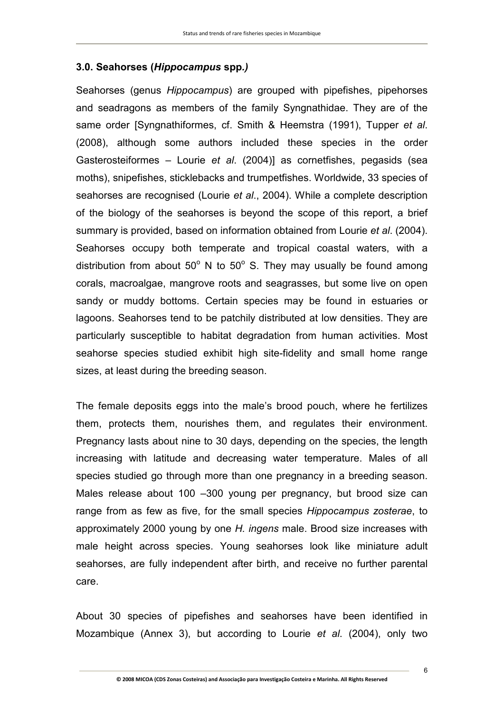# **3.0. Seahorses (***Hippocampus* **spp***.)*

Seahorses (genus *Hippocampus*) are grouped with pipefishes, pipehorses and seadragons as members of the family Syngnathidae. They are of the same order [Syngnathiformes, cf. Smith & Heemstra (1991), Tupper *et al*. (2008), although some authors included these species in the order Gasterosteiformes – Lourie *et al*. (2004)] as cornetfishes, pegasids (sea moths), snipefishes, sticklebacks and trumpetfishes. Worldwide, 33 species of seahorses are recognised (Lourie *et al*., 2004). While a complete description of the biology of the seahorses is beyond the scope of this report, a brief summary is provided, based on information obtained from Lourie *et al*. (2004). Seahorses occupy both temperate and tropical coastal waters, with a distribution from about  $50^{\circ}$  N to  $50^{\circ}$  S. They may usually be found among corals, macroalgae, mangrove roots and seagrasses, but some live on open sandy or muddy bottoms. Certain species may be found in estuaries or lagoons. Seahorses tend to be patchily distributed at low densities. They are particularly susceptible to habitat degradation from human activities. Most seahorse species studied exhibit high site-fidelity and small home range sizes, at least during the breeding season.

The female deposits eggs into the male's brood pouch, where he fertilizes them, protects them, nourishes them, and regulates their environment. Pregnancy lasts about nine to 30 days, depending on the species, the length increasing with latitude and decreasing water temperature. Males of all species studied go through more than one pregnancy in a breeding season. Males release about 100 –300 young per pregnancy, but brood size can range from as few as five, for the small species *Hippocampus zosterae*, to approximately 2000 young by one *H. ingens* male. Brood size increases with male height across species. Young seahorses look like miniature adult seahorses, are fully independent after birth, and receive no further parental care.

About 30 species of pipefishes and seahorses have been identified in Mozambique (Annex 3), but according to Lourie *et al*. (2004), only two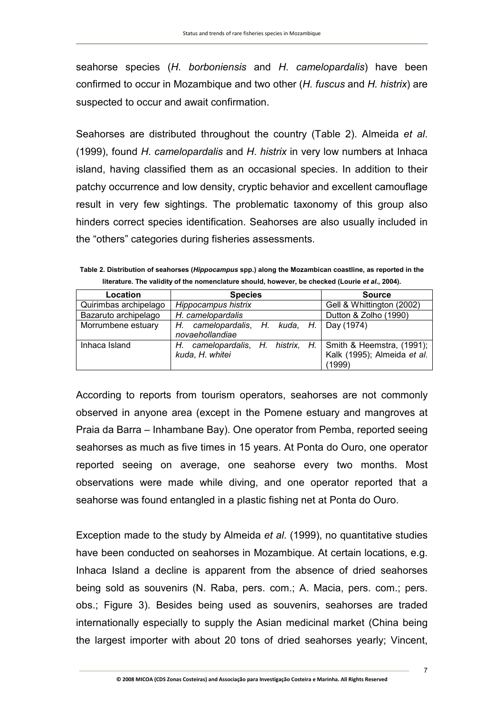seahorse species (*H*. *borboniensis* and *H*. *camelopardalis*) have been confirmed to occur in Mozambique and two other (*H. fuscus* and *H. histrix*) are suspected to occur and await confirmation.

Seahorses are distributed throughout the country (Table 2). Almeida *et al*. (1999), found *H*. *camelopardalis* and *H*. *histrix* in very low numbers at Inhaca island, having classified them as an occasional species. In addition to their patchy occurrence and low density, cryptic behavior and excellent camouflage result in very few sightings. The problematic taxonomy of this group also hinders correct species identification. Seahorses are also usually included in the "others" categories during fisheries assessments.

**Table 2. Distribution of seahorses (***Hippocampus* **spp.) along the Mozambican coastline, as reported in the**  literature. The validity of the nomenclature should, however, be checked (Lourie et al., 2004).

| Location              | <b>Species</b>                                                                 | <b>Source</b>                         |
|-----------------------|--------------------------------------------------------------------------------|---------------------------------------|
| Quirimbas archipelago | Hippocampus histrix                                                            | Gell & Whittington (2002)             |
| Bazaruto archipelago  | H. camelopardalis                                                              | Dutton & Zolho (1990)                 |
| Morrumbene estuary    | H. camelopardalis, H. kuda, H. Day (1974)<br>novaehollandiae                   |                                       |
| Inhaca Island         | H. camelopardalis, H. histrix, H. Smith & Heemstra, (1991);<br>kuda, H. whitei | Kalk (1995); Almeida et al.<br>(1999) |

According to reports from tourism operators, seahorses are not commonly observed in anyone area (except in the Pomene estuary and mangroves at Praia da Barra – Inhambane Bay). One operator from Pemba, reported seeing seahorses as much as five times in 15 years. At Ponta do Ouro, one operator reported seeing on average, one seahorse every two months. Most observations were made while diving, and one operator reported that a seahorse was found entangled in a plastic fishing net at Ponta do Ouro.

Exception made to the study by Almeida *et al*. (1999), no quantitative studies have been conducted on seahorses in Mozambique. At certain locations, e.g. Inhaca Island a decline is apparent from the absence of dried seahorses being sold as souvenirs (N. Raba, pers. com.; A. Macia, pers. com.; pers. obs.; Figure 3). Besides being used as souvenirs, seahorses are traded internationally especially to supply the Asian medicinal market (China being the largest importer with about 20 tons of dried seahorses yearly; Vincent,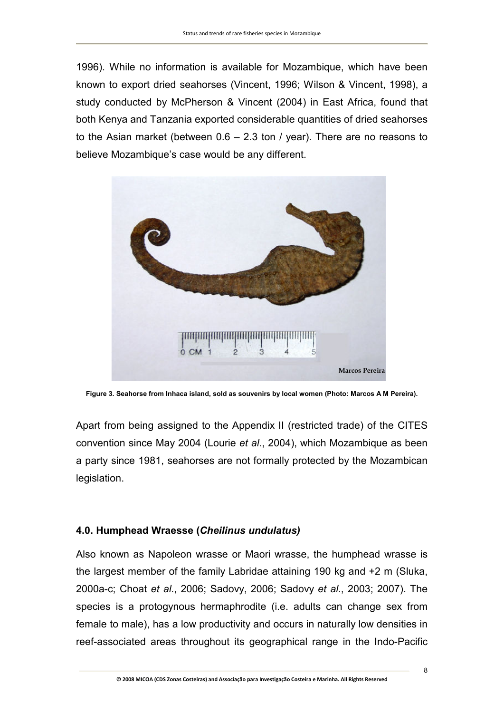1996). While no information is available for Mozambique, which have been known to export dried seahorses (Vincent, 1996; Wilson & Vincent, 1998), a study conducted by McPherson & Vincent (2004) in East Africa, found that both Kenya and Tanzania exported considerable quantities of dried seahorses to the Asian market (between 0.6 – 2.3 ton / year). There are no reasons to believe Mozambique's case would be any different.



**Figure 3. Seahorse from Inhaca island, sold as souvenirs by local women (Photo: Marcos A M Pereira).**

Apart from being assigned to the Appendix II (restricted trade) of the CITES convention since May 2004 (Lourie *et al*., 2004), which Mozambique as been a party since 1981, seahorses are not formally protected by the Mozambican legislation.

# **4.0. Humphead Wraesse (***Cheilinus undulatus)*

Also known as Napoleon wrasse or Maori wrasse, the humphead wrasse is the largest member of the family Labridae attaining 190 kg and +2 m (Sluka, 2000a-c; Choat *et al*., 2006; Sadovy, 2006; Sadovy *et al*., 2003; 2007). The species is a protogynous hermaphrodite (i.e. adults can change sex from female to male), has a low productivity and occurs in naturally low densities in reef-associated areas throughout its geographical range in the Indo-Pacific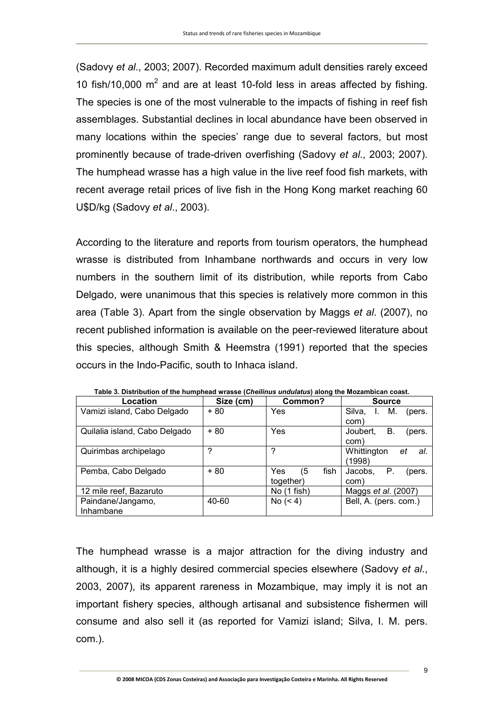(Sadovy *et al*., 2003; 2007). Recorded maximum adult densities rarely exceed 10 fish/10,000  $m^2$  and are at least 10-fold less in areas affected by fishing. The species is one of the most vulnerable to the impacts of fishing in reef fish assemblages. Substantial declines in local abundance have been observed in many locations within the species' range due to several factors, but most prominently because of trade-driven overfishing (Sadovy *et al*., 2003; 2007). The humphead wrasse has a high value in the live reef food fish markets, with recent average retail prices of live fish in the Hong Kong market reaching 60 U\$D/kg (Sadovy *et al*., 2003).

According to the literature and reports from tourism operators, the humphead wrasse is distributed from Inhambane northwards and occurs in very low numbers in the southern limit of its distribution, while reports from Cabo Delgado, were unanimous that this species is relatively more common in this area (Table 3). Apart from the single observation by Maggs *et al*. (2007), no recent published information is available on the peer-reviewed literature about this species, although Smith & Heemstra (1991) reported that the species occurs in the Indo-Pacific, south to Inhaca island.

| Location                      | Size (cm) | Common?           | <b>Source</b>              |
|-------------------------------|-----------|-------------------|----------------------------|
| Vamizi island, Cabo Delgado   | + 80      | Yes               | Silva.<br>М.<br>(pers.     |
|                               |           |                   | com)                       |
| Quilalia island, Cabo Delgado | $+80$     | Yes               | Joubert.<br>В.<br>(pers.   |
|                               |           |                   | com)                       |
| Quirimbas archipelago         | 2         | っ                 | Whittington<br>al.<br>et   |
|                               |           |                   | (1998)                     |
| Pemba, Cabo Delgado           | $+80$     | fish<br>(5<br>Yes | Р.<br>Jacobs.<br>(pers.    |
|                               |           | together)         | com)                       |
| 12 mile reef, Bazaruto        |           | No (1 fish)       | Maggs <i>et al.</i> (2007) |
| Paindane/Jangamo,             | 40-60     | No (< 4)          | Bell, A. (pers. com.)      |
| Inhambane                     |           |                   |                            |

**Table 3. Distribution of the humphead wrasse (***Cheilinus undulatus***) along the Mozambican coast.** 

The humphead wrasse is a major attraction for the diving industry and although, it is a highly desired commercial species elsewhere (Sadovy *et al*., 2003, 2007), its apparent rareness in Mozambique, may imply it is not an important fishery species, although artisanal and subsistence fishermen will consume and also sell it (as reported for Vamizi island; Silva, I. M. pers. com.).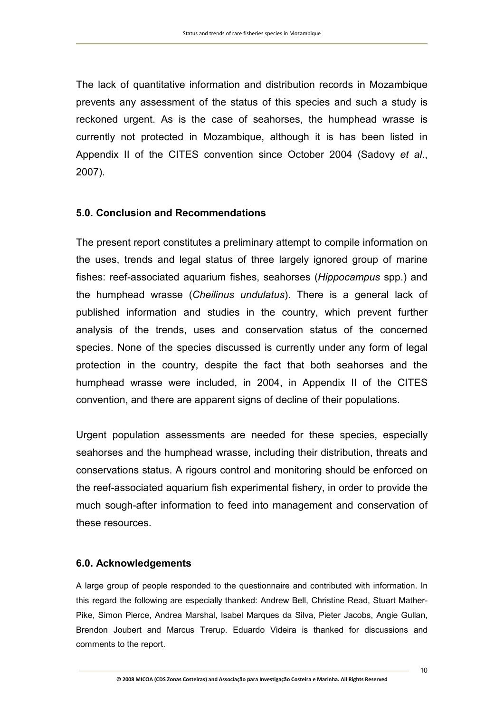The lack of quantitative information and distribution records in Mozambique prevents any assessment of the status of this species and such a study is reckoned urgent. As is the case of seahorses, the humphead wrasse is currently not protected in Mozambique, although it is has been listed in Appendix II of the CITES convention since October 2004 (Sadovy *et al*., 2007).

# **5.0. Conclusion and Recommendations**

The present report constitutes a preliminary attempt to compile information on the uses, trends and legal status of three largely ignored group of marine fishes: reef-associated aquarium fishes, seahorses (*Hippocampus* spp.) and the humphead wrasse (*Cheilinus undulatus*). There is a general lack of published information and studies in the country, which prevent further analysis of the trends, uses and conservation status of the concerned species. None of the species discussed is currently under any form of legal protection in the country, despite the fact that both seahorses and the humphead wrasse were included, in 2004, in Appendix II of the CITES convention, and there are apparent signs of decline of their populations.

Urgent population assessments are needed for these species, especially seahorses and the humphead wrasse, including their distribution, threats and conservations status. A rigours control and monitoring should be enforced on the reef-associated aquarium fish experimental fishery, in order to provide the much sough-after information to feed into management and conservation of these resources.

# **6.0. Acknowledgements**

A large group of people responded to the questionnaire and contributed with information. In this regard the following are especially thanked: Andrew Bell, Christine Read, Stuart Mather-Pike, Simon Pierce, Andrea Marshal, Isabel Marques da Silva, Pieter Jacobs, Angie Gullan, Brendon Joubert and Marcus Trerup. Eduardo Videira is thanked for discussions and comments to the report.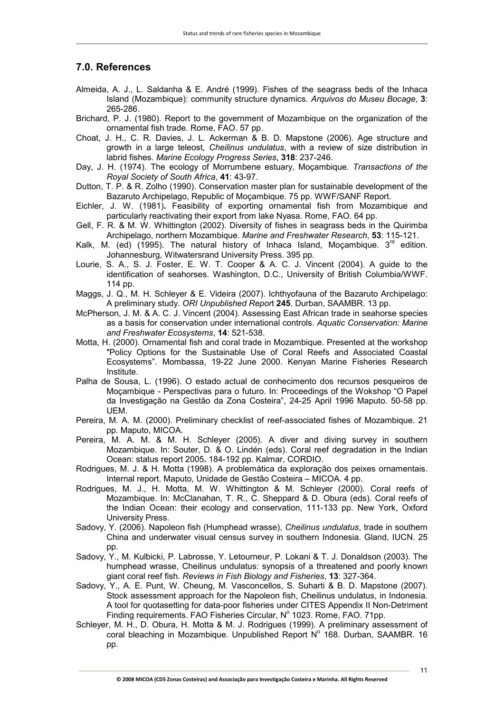#### **7.0. References**

- Almeida, A. J., L. Saldanha & E. André (1999). Fishes of the seagrass beds of the Inhaca Island (Mozambique): community structure dynamics. *Arquivos do Museu Bocage*, **3**: 265-286.
- Brichard, P. J. (1980). Report to the government of Mozambique on the organization of the ornamental fish trade. Rome, FAO. 57 pp.
- Choat, J. H., C. R. Davies, J. L. Ackerman & B. D. Mapstone (2006). Age structure and growth in a large teleost, *Cheilinus undulatus*, with a review of size distribution in labrid fishes. *Marine Ecology Progress Series*, **318**: 237-246.
- Day, J. H. (1974). The ecology of Morrumbene estuary, Moçambique. *Transactions of the Royal Society of South Africa*, **41**: 43-97.
- Dutton, T. P. & R. Zolho (1990). Conservation master plan for sustainable development of the Bazaruto Archipelago, Republic of Moçambique. 75 pp. WWF/SANF Report.
- Eichler, J. W. (1981)**.** Feasibility of exporting ornamental fish from Mozambique and particularly reactivating their export from lake Nyasa. Rome, FAO. 64 pp.
- Gell, F. R. & M. W. Whittington (2002). Diversity of fishes in seagrass beds in the Quirimba Archipelago, northern Mozambique. *Marine and Freshwater Research*, **53**: 115-121.
- Kalk, M. (ed) (1995). The natural history of Inhaca Island, Moçambique.  $3^{rd}$  edition. Johannesburg, Witwatersrand University Press. 395 pp.
- Lourie, S. A., S. J. Foster, E. W. T. Cooper & A. C. J. Vincent (2004). A guide to the identification of seahorses. Washington, D.C., University of British Columbia/WWF. 114 pp.
- Maggs, J. Q., M. H. Schleyer & E. Videira (2007). Ichthyofauna of the Bazaruto Archipelago: A preliminary study. *ORI Unpublished Repor*t **245**. Durban, SAAMBR. 13 pp.
- McPherson, J. M. & A. C. J. Vincent (2004). Assessing East African trade in seahorse species as a basis for conservation under international controls. *Aquatic Conservation: Marine and Freshwater Ecosystems*, **14**: 521-538.
- Motta, H. (2000). Ornamental fish and coral trade in Mozambique. Presented at the workshop "Policy Options for the Sustainable Use of Coral Reefs and Associated Coastal Ecosystems". Mombassa, 19-22 June 2000. Kenyan Marine Fisheries Research Institute.
- Palha de Sousa, L. (1996). O estado actual de conhecimento dos recursos pesqueiros de Moçambique - Perspectivas para o futuro. In: Proceedings of the Wokshop "O Papel da Investigação na Gestão da Zona Costeira", 24-25 April 1996 Maputo. 50-58 pp. UEM.
- Pereira, M. A. M. (2000). Preliminary checklist of reef-associated fishes of Mozambique. 21 pp. Maputo, MICOA.
- Pereira, M. A. M. & M. H. Schleyer (2005). A diver and diving survey in southern Mozambique. In: Souter, D. & O. Lindén (eds). Coral reef degradation in the Indian Ocean: status report 2005**.** 184-192 pp. Kalmar, CORDIO.
- Rodrigues, M. J. & H. Motta (1998). A problemática da exploração dos peixes ornamentais. Internal report. Maputo, Unidade de Gestão Costeira – MICOA. 4 pp.
- Rodrigues, M. J., H. Motta, M. W. Whittington & M. Schleyer (2000). Coral reefs of Mozambique. In: McClanahan, T. R., C. Sheppard & D. Obura (eds). Coral reefs of the Indian Ocean: their ecology and conservation, 111-133 pp. New York, Oxford University Press.
- Sadovy, Y. (2006). Napoleon fish (Humphead wrasse), *Cheilinus undulatus*, trade in southern China and underwater visual census survey in southern Indonesia. Gland, IUCN. 25 pp.
- Sadovy, Y., M. Kulbicki, P. Labrosse, Y. Letourneur, P. Lokani & T. J. Donaldson (2003). The humphead wrasse, Cheilinus undulatus: synopsis of a threatened and poorly known giant coral reef fish. *Reviews in Fish Biology and Fisheries*, **13**: 327-364.
- Sadovy, Y., A. E. Punt, W. Cheung, M. Vasconcellos, S. Suharti & B. D. Mapstone (2007). Stock assessment approach for the Napoleon fish, Cheilinus undulatus, in Indonesia. A tool for quotasetting for data-poor fisheries under CITES Appendix II Non-Detriment Finding requirements. FAO Fisheries Circular, Nº 1023. Rome, FAO. 71pp.
- Schleyer, M. H., D. Obura, H. Motta & M. J. Rodrigues (1999). A preliminary assessment of coral bleaching in Mozambique. Unpublished Report  $N^{\circ}$  168. Durban, SAAMBR. 16 pp.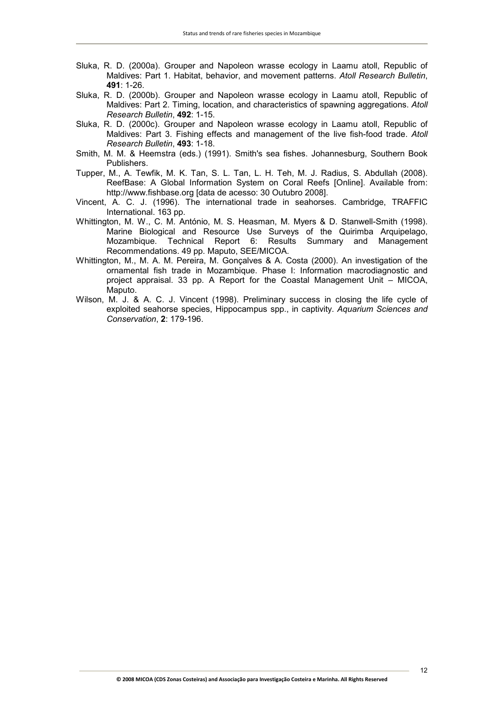- Sluka, R. D. (2000a). Grouper and Napoleon wrasse ecology in Laamu atoll, Republic of Maldives: Part 1. Habitat, behavior, and movement patterns. *Atoll Research Bulletin*, **491**: 1-26.
- Sluka, R. D. (2000b). Grouper and Napoleon wrasse ecology in Laamu atoll, Republic of Maldives: Part 2. Timing, location, and characteristics of spawning aggregations. *Atoll Research Bulletin*, **492**: 1-15.
- Sluka, R. D. (2000c). Grouper and Napoleon wrasse ecology in Laamu atoll, Republic of Maldives: Part 3. Fishing effects and management of the live fish-food trade. *Atoll Research Bulletin*, **493**: 1-18.
- Smith, M. M. & Heemstra (eds.) (1991). Smith's sea fishes. Johannesburg, Southern Book Publishers.
- Tupper, M., A. Tewfik, M. K. Tan, S. L. Tan, L. H. Teh, M. J. Radius, S. Abdullah (2008). ReefBase: A Global Information System on Coral Reefs [Online]. Available from: http://www.fishbase.org [data de acesso: 30 Outubro 2008].
- Vincent, A. C. J. (1996). The international trade in seahorses. Cambridge, TRAFFIC International. 163 pp.
- Whittington, M. W., C. M. António, M. S. Heasman, M. Myers & D. Stanwell-Smith (1998). Marine Biological and Resource Use Surveys of the Quirimba Arquipelago, Mozambique. Technical Report 6: Results Summary and Management Recommendations. 49 pp. Maputo, SEE/MICOA.
- Whittington, M., M. A. M. Pereira, M. Gonçalves & A. Costa (2000). An investigation of the ornamental fish trade in Mozambique. Phase I: Information macrodiagnostic and project appraisal. 33 pp. A Report for the Coastal Management Unit – MICOA, Maputo.
- Wilson, M. J. & A. C. J. Vincent (1998). Preliminary success in closing the life cycle of exploited seahorse species, Hippocampus spp., in captivity. *Aquarium Sciences and Conservation*, **2**: 179-196.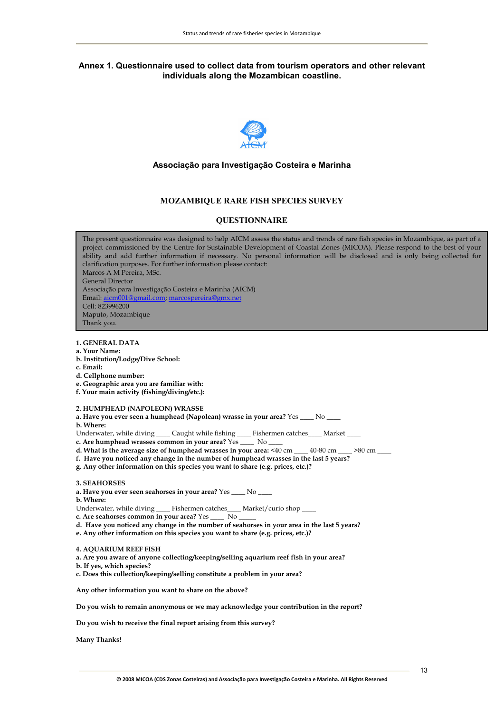#### **Annex 1. Questionnaire used to collect data from tourism operators and other relevant individuals along the Mozambican coastline.**



#### **Associação para Investigação Costeira e Marinha**

#### **MOZAMBIQUE RARE FISH SPECIES SURVEY**

#### **QUESTIONNAIRE**

**1. GENERAL DATA**  The present questionnaire was designed to help AICM assess the status and trends of rare fish species in Mozambique, as part of a project commissioned by the Centre for Sustainable Development of Coastal Zones (MICOA). Please respond to the best of your ability and add further information if necessary. No personal information will be disclosed and is only being collected for clarification purposes. For further information please contact: Marcos A M Pereira, MSc. General Director Associação para Investigação Costeira e Marinha (AICM) Email: aicm001@gmail.com; marcospereira@gmx.net Cell: 823996200 Maputo, Mozambique Thank you.

- **a. Your Name:**
- **b. Institution/Lodge/Dive School:**
- **c. Email:**
- **d. Cellphone number:**
- **e. Geographic area you are familiar with:**
- **f. Your main activity (fishing/diving/etc.):**

#### **2. HUMPHEAD (NAPOLEON) WRASSE**

- **a. Have you ever seen a humphead (Napolean) wrasse in your area?** Yes \_\_\_\_ No \_\_\_\_
- **b. Where:**
- Underwater, while diving \_\_\_\_ Caught while fishing \_\_\_\_ Fishermen catches \_\_\_\_ Market \_

**c. Are humphead wrasses common in your area?** Yes \_\_\_\_ No \_\_\_\_

- d. What is the average size of humphead wrasses in your area: <40 cm \_\_\_\_ 40-80 cm \_\_\_\_ >80 cm \_\_\_
- **f. Have you noticed any change in the number of humphead wrasses in the last 5 years?**
- **g. Any other information on this species you want to share (e.g. prices, etc.)?**
- **3. SEAHORSES**
- **a. Have you ever seen seahorses in your area?** Yes \_\_\_\_ No \_\_\_\_
- **b. Where:**
- Underwater, while diving \_\_\_\_\_ Fishermen catches\_\_\_\_\_ Market/curio shop \_\_\_
- **c. Are seahorses common in your area?** Yes \_\_\_\_ No \_\_\_\_\_
- **d. Have you noticed any change in the number of seahorses in your area in the last 5 years?**
- **e. Any other information on this species you want to share (e.g. prices, etc.)?**
- **4. AQUARIUM REEF FISH**
- **a. Are you aware of anyone collecting/keeping/selling aquarium reef fish in your area?**
- **b. If yes, which species?**
- **c. Does this collection/keeping/selling constitute a problem in your area?**

**Any other information you want to share on the above?** 

**Do you wish to remain anonymous or we may acknowledge your contribution in the report?** 

**Do you wish to receive the final report arising from this survey?** 

**Many Thanks!**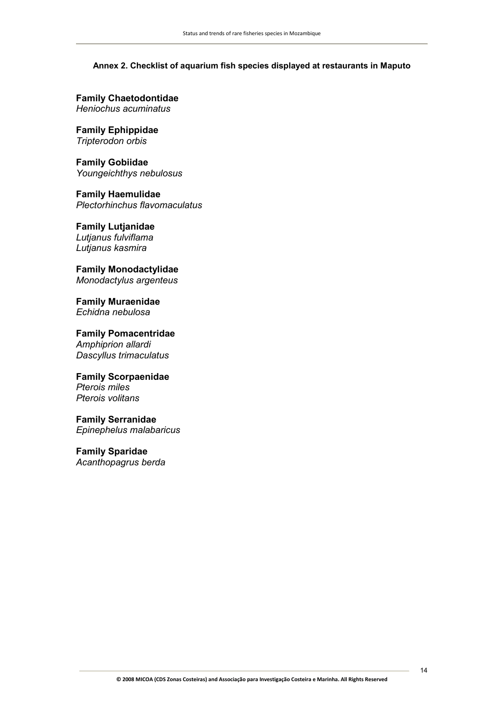#### **Annex 2. Checklist of aquarium fish species displayed at restaurants in Maputo**

**Family Chaetodontidae**  *Heniochus acuminatus* 

**Family Ephippidae**  *Tripterodon orbis* 

**Family Gobiidae**  *Youngeichthys nebulosus* 

**Family Haemulidae**  *Plectorhinchus flavomaculatus* 

**Family Lutjanidae**  *Lutjanus fulviflama* 

*Lutjanus kasmira* 

**Family Monodactylidae**  *Monodactylus argenteus* 

**Family Muraenidae**  *Echidna nebulosa* 

**Family Pomacentridae**  *Amphiprion allardi Dascyllus trimaculatus* 

**Family Scorpaenidae** *Pterois miles Pterois volitans* 

**Family Serranidae**  *Epinephelus malabaricus* 

**Family Sparidae**  *Acanthopagrus berda*